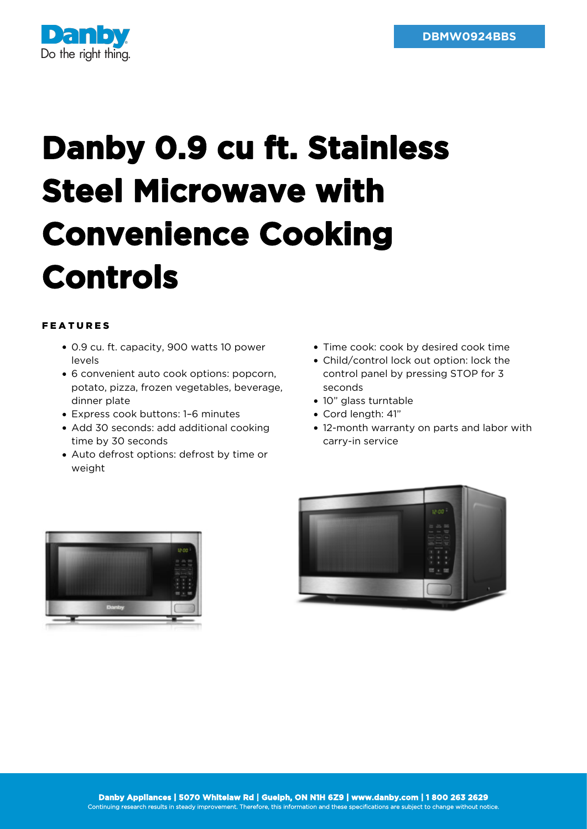

## **Danby 0.9 cu ft. Stainless Steel Microwave with Convenience Cooking Controls**

## FEATURES

- 0.9 cu. ft. capacity, 900 watts 10 power levels
- 6 convenient auto cook options: popcorn, potato, pizza, frozen vegetables, beverage, dinner plate
- Express cook buttons: 1–6 minutes
- Add 30 seconds: add additional cooking time by 30 seconds
- Auto defrost options: defrost by time or weight
- Time cook: cook by desired cook time
- Child/control lock out option: lock the control panel by pressing STOP for 3 seconds
- 10" glass turntable
- Cord length: 41"
- 12-month warranty on parts and labor with carry-in service